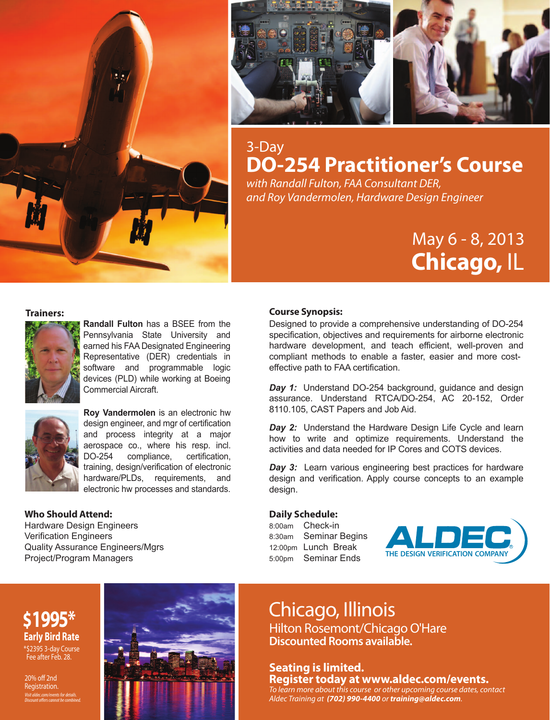



# 3-Day **DO-254 Practitioner's Course**

*with Randall Fulton, FAA Consultant DER, and Roy Vandermolen, Hardware Design Engineer*

# May 6 - 8, 2013  **Chicago,** IL



**Randall Fulton** has a BSEE from the Pennsylvania State University and earned his FAA Designated Engineering Representative (DER) credentials in software and programmable logic devices (PLD) while working at Boeing Commercial Aircraft.



**Roy Vandermolen** is an electronic hw design engineer, and mgr of certification and process integrity at a major aerospace co., where his resp. incl. DO-254 compliance, certification, training, design/verification of electronic hardware/PLDs, requirements, and electronic hw processes and standards.

#### **Who Should Attend:**

Hardware Design Engineers Verification Engineers Quality Assurance Engineers/Mgrs Project/Program Managers

#### **Trainers: Course Synopsis:**

Designed to provide a comprehensive understanding of DO-254 specification, objectives and requirements for airborne electronic hardware development, and teach efficient, well-proven and compliant methods to enable a faster, easier and more costeffective path to FAA certification.

*Day 1:* Understand DO-254 background, guidance and design assurance. Understand RTCA/DO-254, AC 20-152, Order 8110.105, CAST Papers and Job Aid.

*Day 2:* Understand the Hardware Design Life Cycle and learn how to write and optimize requirements. Understand the activities and data needed for IP Cores and COTS devices.

*Day 3:* Learn various engineering best practices for hardware design and verification. Apply course concepts to an example design.

#### **Daily Schedule:**

8:00am Check-in 8:30am Seminar Begins 12:00pm Lunch Break 5:00pm Seminar Ends



#### **\$1995\* Early Bird Rate** \*\$2395 3-day Course Fee after Feb. 28.

*Visit aldec.com/events for details.*  **Discount offers cannot be combined.** 20% off 2nd Registration.



# Chicago, Illinois

Hilton Rosemont/Chicago O'Hare **Discounted Rooms available.**

#### **Seating is limited. Register today at www.aldec.com/events.**

*To learn more about this course or other upcoming course dates, contact Aldec Training at (702) 990-4400 or training@aldec.com.*